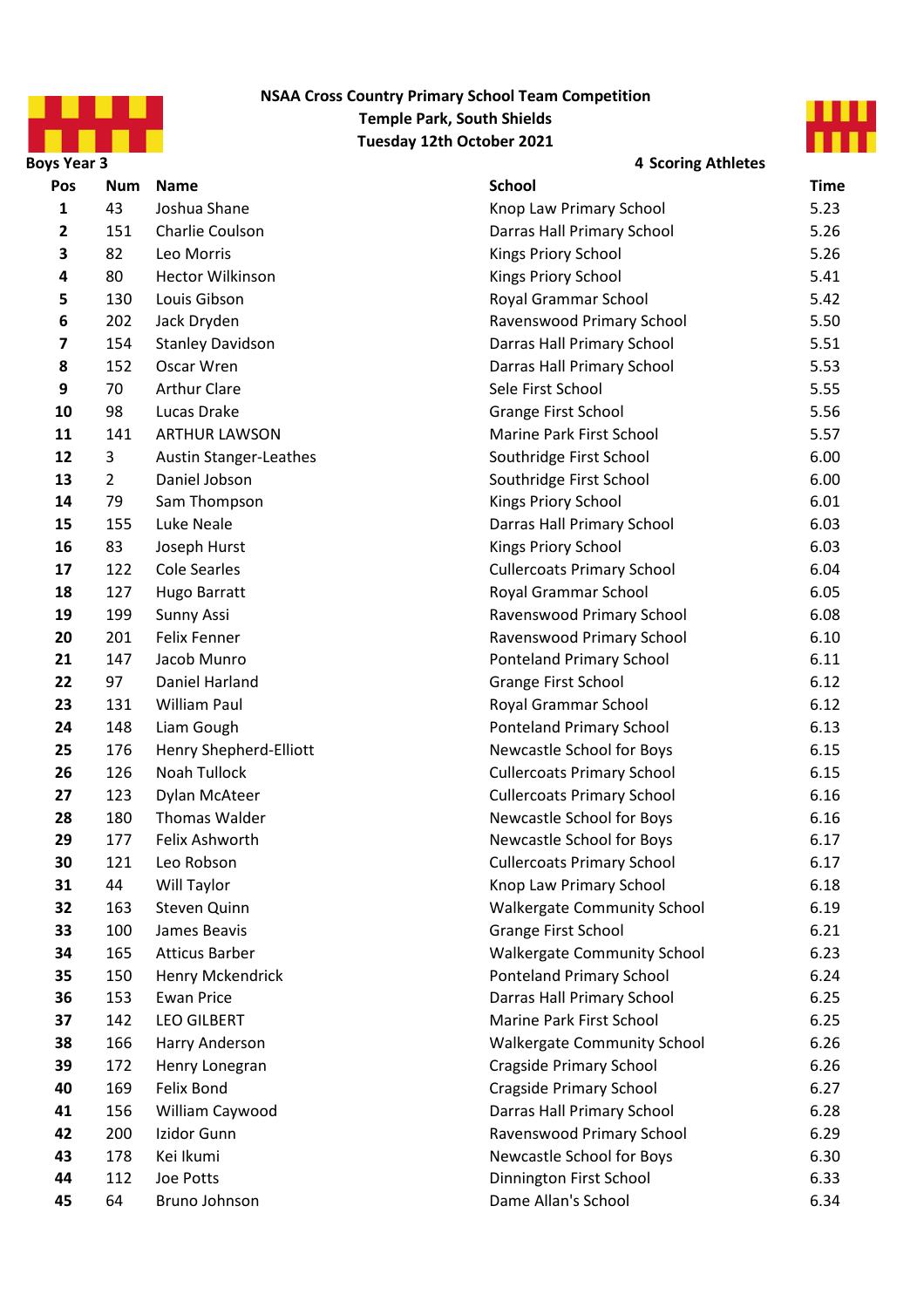

#### **NSAA Cross Country Primary School Team Competition Temple Park, South Shields Tuesday 12th October 2021**



**Boys Year 3 4 Scoring Athletes Pos Num Time** 1 43 Joshua Shane **1 1 Access 12 Access 12 Access 14 Access 14 Access 14 Access 14 Access 14 Access 14 Access 14 Access 14 Access 15.23**  151 Charlie Coulson **Charlie Coulson Charlie Coulson Charlie Coulson Charlie Coulson Charlie Coulson Charlie Coulson Charlie Coulson Charlie Coulson Charlie Coulson Charlie Coulson Charlie Coulson** 82 Leo Morris **1988** 12 **12 Contract 2 12 Contract 2 Contract 2 Contract 2 Contract 2 Contract 2 Contract 2 Contract 2 Contract 2 Contract 2 Contract 2 Contract 2 Contract 2 Contract 2 Contract 2 Contract 2 Contract 2**  80 Hector Wilkinson **Manufath Company Rings Priory School** 5.41 130 Louis Gibson **130 Community Community Community** Royal Grammar School 5.42 202 Jack Dryden **Ravenswood Primary School** 5.50 154 Stanley Davidson **Darras Hall Primary School** 5.51 152 Oscar Wren **Darras Hall Primary School** 5.53 70 Arthur Clare Sele First School 5.55 98 Lucas Drake **Grange First School** 5.56 11 141 ARTHUR LAWSON **Marine Park First School** 5.57 12 3 Austin Stanger-Leathes Southridge First School 6.00 13 2 Daniel Jobson **13** Southridge First School 6.00 79 Sam Thompson **Container Container Container Container Container Container Container Container Container Container Container Container Container Container Container Container Container Container Container Container**  155 Luke Neale **Darras Hall Primary School** 6.03 83 Joseph Hurst **Construction Construction Construction** Kings Priory School 6.03 122 Cole Searles **Cullercoats Primary School** 6.04 127 Hugo Barratt **Access 18 Constructs Access 18 Access 18 Access 18 Access 18 Access 18 Access 18 Access 18 Access 18 Access 18 Access 18 Access 18 Access 18 Access 18 Access 18 Access 18 Access 18 Access 18 Access 1** 19 199 Sunny Assi **19 Sunny Assi 19 November 2018** Ravenswood Primary School 6.08 201 Felix Fenner **Ravenswood Primary School** 6.10 147 Jacob Munro **120 Conteland Primary School** 6.11 97 Daniel Harland **Grange First School** 6.12 131 William Paul **Royal Grammar School** 6.12 148 Liam Gough **Conterent Content Content Content Content Content Content Content Content Content Content Content Content Content Content Content Content Content Content Content Content Content Content Content Content** 25 176 Henry Shepherd-Elliott **Newcastle School for Boys** 6.15 126 Noah Tullock **Cullercoats Primary School** 6.15 123 Dylan McAteer **Cullercoats Primary School** 6.16 180 Thomas Walder **Newcastle School for Boys** 6.16 177 Felix Ashworth **1888** 177 Felix Ashworth **Newcastle School for Boys** 6.17 121 Leo Robson **Cullercoats Primary School** 6.17 44 Will Taylor **Contract Contract Contract Contract Contract Contract Contract Contract Contract Contract Contract Contract Contract Contract Contract Contract Contract Contract Contract Contract Contract Contract Con**  163 Steven Quinn **1888** 19 November 2016 19 Notice Community School 6.19 100 James Beavis **Grange First School** 6.21 165 Atticus Barber **1888** 165 Malkergate Community School 6.23 150 Henry Mckendrick **Content Content Content Content Content Content Content Content Content Content Content Content Content Content Content Content Content Content Content Content Content Content Content Content Con**  153 Ewan Price **Darras Hall Primary School** 6.25 142 LEO GILBERT **All Accord Contract Contract Contract Contract Contract Contract Contract Contract Contract Contract Contract Contract Contract Contract Contract Contract Contract Contract Contract Contract Contract**  166 Harry Anderson **Malkergate Community School** 6.26 172 Henry Lonegran **Cragside Primary School** 6.26 169 Felix Bond **Cragside Primary School** 6.27 156 William Caywood **Darras Hall Primary School** 6.28 200 Izidor Gunn **Ravenswood Primary School** 6.29 178 Kei Ikumi **Abu and Accord Control** Newcastle School for Boys 6.30 112 Joe Potts **Dinnington First School** 6.33 64 Bruno Johnson **Dame Allan's School** 6.34 **Name School**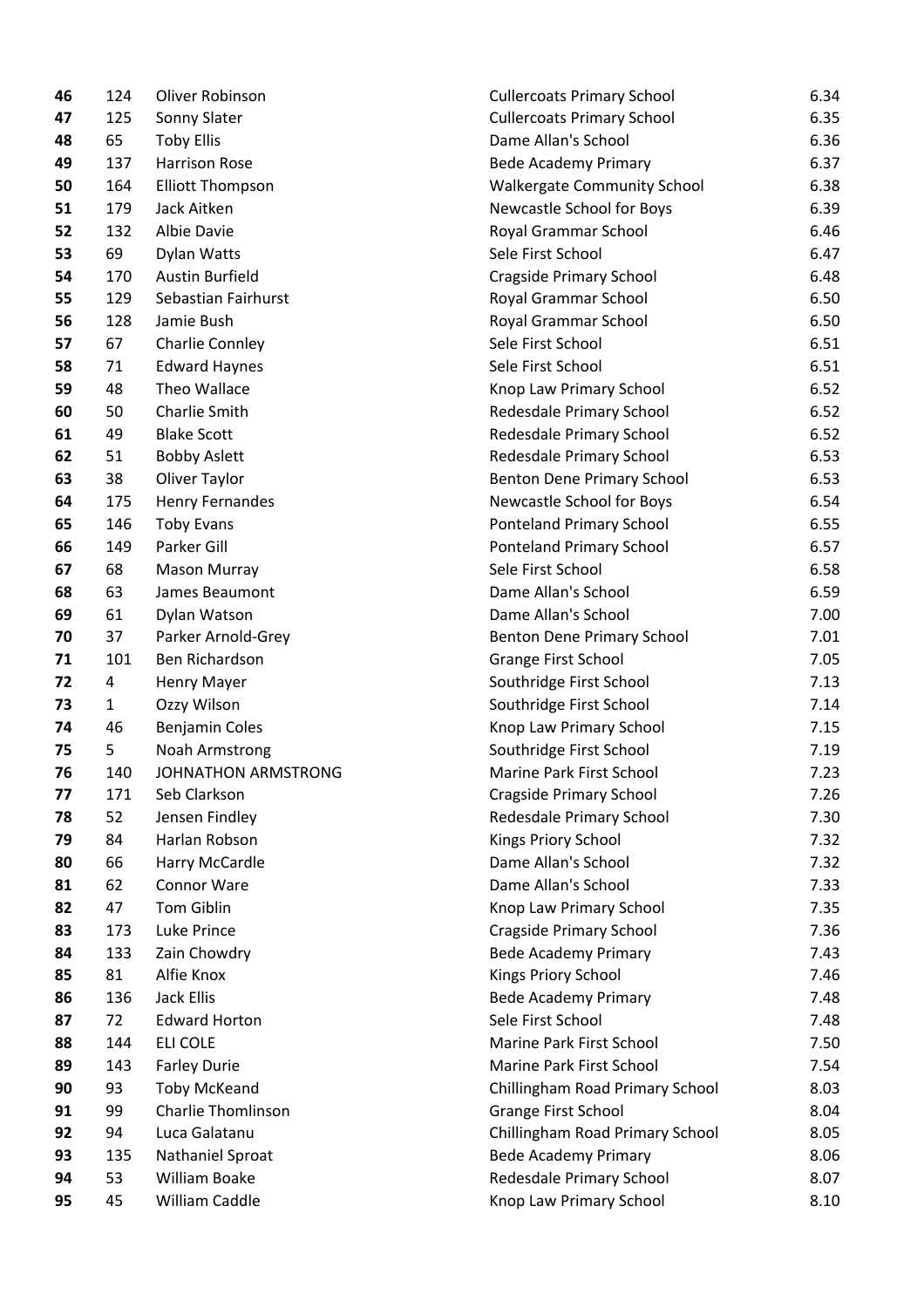| 46 | 124            | Oliver Robinson           | <b>Cullercoats Primary School</b>  | 6.34 |
|----|----------------|---------------------------|------------------------------------|------|
| 47 | 125            | Sonny Slater              | <b>Cullercoats Primary School</b>  | 6.35 |
| 48 | 65             | <b>Toby Ellis</b>         | Dame Allan's School                | 6.36 |
| 49 | 137            | <b>Harrison Rose</b>      | <b>Bede Academy Primary</b>        | 6.37 |
| 50 | 164            | <b>Elliott Thompson</b>   | <b>Walkergate Community School</b> | 6.38 |
| 51 | 179            | Jack Aitken               | Newcastle School for Boys          | 6.39 |
| 52 | 132            | Albie Davie               | Royal Grammar School               | 6.46 |
| 53 | 69             | Dylan Watts               | Sele First School                  | 6.47 |
| 54 | 170            | <b>Austin Burfield</b>    | <b>Cragside Primary School</b>     | 6.48 |
| 55 | 129            | Sebastian Fairhurst       | Royal Grammar School               | 6.50 |
| 56 | 128            | Jamie Bush                | Royal Grammar School               | 6.50 |
| 57 | 67             | <b>Charlie Connley</b>    | Sele First School                  | 6.51 |
| 58 | 71             | <b>Edward Haynes</b>      | Sele First School                  | 6.51 |
| 59 | 48             | Theo Wallace              | Knop Law Primary School            | 6.52 |
| 60 | 50             | Charlie Smith             | Redesdale Primary School           | 6.52 |
| 61 | 49             | <b>Blake Scott</b>        | Redesdale Primary School           | 6.52 |
| 62 | 51             | <b>Bobby Aslett</b>       | Redesdale Primary School           | 6.53 |
| 63 | 38             | Oliver Taylor             | Benton Dene Primary School         | 6.53 |
| 64 | 175            | Henry Fernandes           | Newcastle School for Boys          | 6.54 |
| 65 | 146            | <b>Toby Evans</b>         | Ponteland Primary School           | 6.55 |
| 66 | 149            | Parker Gill               | Ponteland Primary School           | 6.57 |
| 67 | 68             | Mason Murray              | Sele First School                  | 6.58 |
| 68 | 63             | James Beaumont            | Dame Allan's School                | 6.59 |
| 69 | 61             | Dylan Watson              | Dame Allan's School                | 7.00 |
| 70 | 37             | Parker Arnold-Grey        | Benton Dene Primary School         | 7.01 |
| 71 | 101            | Ben Richardson            | <b>Grange First School</b>         | 7.05 |
| 72 | $\overline{4}$ | Henry Mayer               | Southridge First School            | 7.13 |
| 73 | $\mathbf{1}$   | Ozzy Wilson               | Southridge First School            | 7.14 |
| 74 | 46             | <b>Benjamin Coles</b>     | Knop Law Primary School            | 7.15 |
| 75 | 5              | Noah Armstrong            | Southridge First School            | 7.19 |
| 76 | 140            | JOHNATHON ARMSTRONG       | Marine Park First School           | 7.23 |
| 77 | 171            | Seb Clarkson              | <b>Cragside Primary School</b>     | 7.26 |
| 78 | 52             | Jensen Findley            | Redesdale Primary School           | 7.30 |
| 79 | 84             | Harlan Robson             | Kings Priory School                | 7.32 |
| 80 | 66             | Harry McCardle            | Dame Allan's School                | 7.32 |
| 81 | 62             | Connor Ware               | Dame Allan's School                | 7.33 |
| 82 | 47             | <b>Tom Giblin</b>         | Knop Law Primary School            | 7.35 |
| 83 | 173            | Luke Prince               | <b>Cragside Primary School</b>     | 7.36 |
| 84 | 133            | Zain Chowdry              | <b>Bede Academy Primary</b>        | 7.43 |
| 85 | 81             | Alfie Knox                | Kings Priory School                | 7.46 |
| 86 | 136            | <b>Jack Ellis</b>         | <b>Bede Academy Primary</b>        | 7.48 |
| 87 | 72             | <b>Edward Horton</b>      | Sele First School                  | 7.48 |
| 88 | 144            | ELI COLE                  | Marine Park First School           | 7.50 |
| 89 | 143            | <b>Farley Durie</b>       | Marine Park First School           | 7.54 |
| 90 | 93             | <b>Toby McKeand</b>       | Chillingham Road Primary School    | 8.03 |
| 91 | 99             | <b>Charlie Thomlinson</b> | Grange First School                | 8.04 |
| 92 | 94             | Luca Galatanu             | Chillingham Road Primary School    | 8.05 |
| 93 | 135            | Nathaniel Sproat          | <b>Bede Academy Primary</b>        | 8.06 |
| 94 | 53             | William Boake             | Redesdale Primary School           | 8.07 |
| 95 | 45             | William Caddle            | Knop Law Primary School            | 8.10 |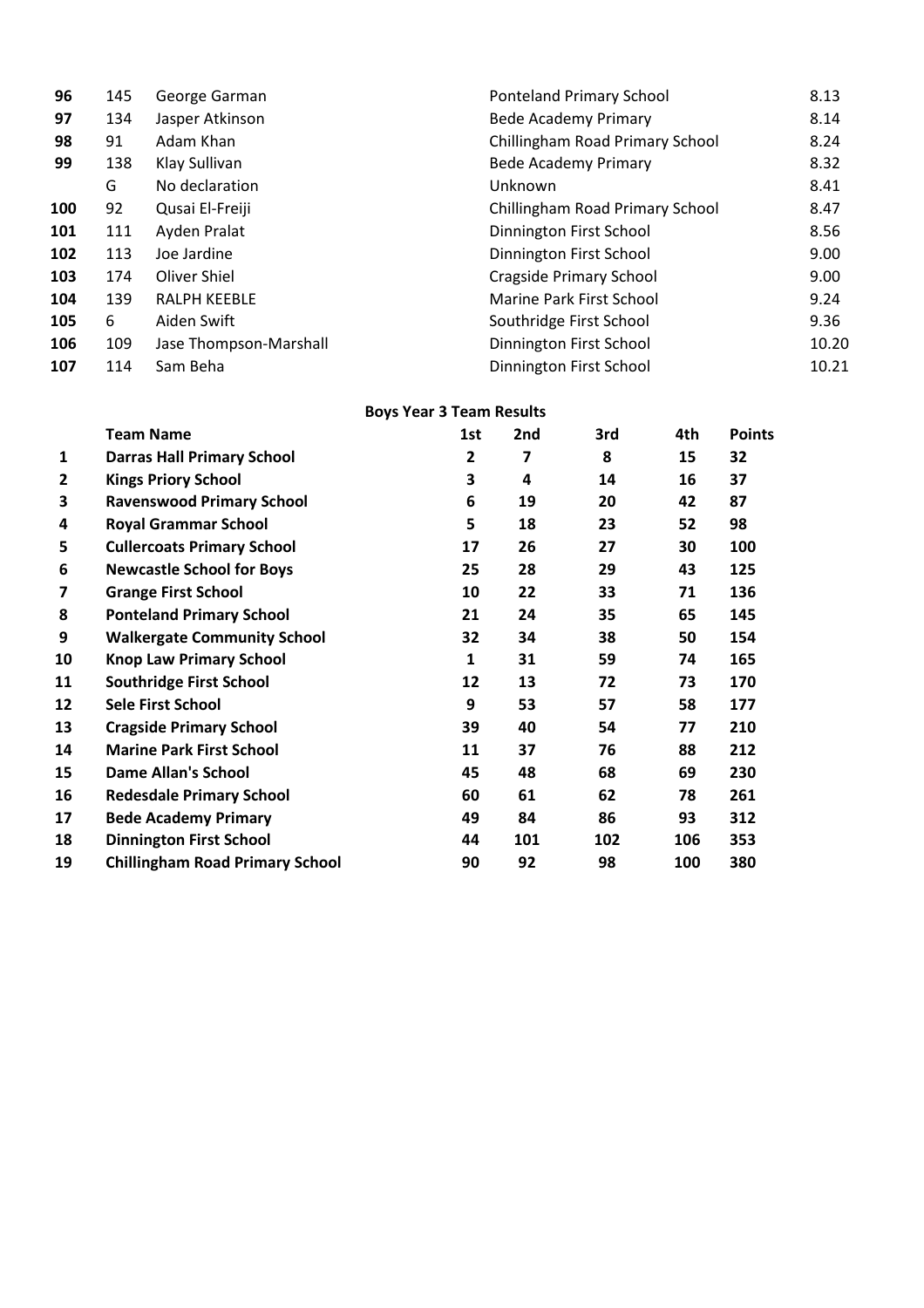| 96  | 145 | George Garman          | <b>Ponteland Primary School</b> | 8.13  |
|-----|-----|------------------------|---------------------------------|-------|
| 97  | 134 | Jasper Atkinson        | <b>Bede Academy Primary</b>     | 8.14  |
| 98  | 91  | Adam Khan              | Chillingham Road Primary School | 8.24  |
| 99  | 138 | Klay Sullivan          | <b>Bede Academy Primary</b>     | 8.32  |
|     | G   | No declaration         | Unknown                         | 8.41  |
| 100 | 92  | Qusai El-Freiji        | Chillingham Road Primary School | 8.47  |
| 101 | 111 | Ayden Pralat           | Dinnington First School         | 8.56  |
| 102 | 113 | Joe Jardine            | Dinnington First School         | 9.00  |
| 103 | 174 | Oliver Shiel           | <b>Cragside Primary School</b>  | 9.00  |
| 104 | 139 | <b>RALPH KEEBLE</b>    | Marine Park First School        | 9.24  |
| 105 | 6   | Aiden Swift            | Southridge First School         | 9.36  |
| 106 | 109 | Jase Thompson-Marshall | Dinnington First School         | 10.20 |
| 107 | 114 | Sam Beha               | Dinnington First School         | 10.21 |

# **Boys Year 3 Team Results**

|              | <b>Team Name</b>                       | 1st | 2nd | 3rd | 4th | <b>Points</b> |
|--------------|----------------------------------------|-----|-----|-----|-----|---------------|
| 1            | <b>Darras Hall Primary School</b>      | 2   | 7   | 8   | 15  | 32            |
| $\mathbf{2}$ | <b>Kings Priory School</b>             | 3   | 4   | 14  | 16  | 37            |
| 3            | <b>Ravenswood Primary School</b>       | 6   | 19  | 20  | 42  | 87            |
| 4            | <b>Royal Grammar School</b>            | 5   | 18  | 23  | 52  | 98            |
| 5            | <b>Cullercoats Primary School</b>      | 17  | 26  | 27  | 30  | 100           |
| 6            | <b>Newcastle School for Boys</b>       | 25  | 28  | 29  | 43  | 125           |
| 7            | <b>Grange First School</b>             | 10  | 22  | 33  | 71  | 136           |
| 8            | <b>Ponteland Primary School</b>        | 21  | 24  | 35  | 65  | 145           |
| 9            | <b>Walkergate Community School</b>     | 32  | 34  | 38  | 50  | 154           |
| 10           | <b>Knop Law Primary School</b>         | 1   | 31  | 59  | 74  | 165           |
| 11           | <b>Southridge First School</b>         | 12  | 13  | 72  | 73  | 170           |
| 12           | <b>Sele First School</b>               | 9   | 53  | 57  | 58  | 177           |
| 13           | <b>Cragside Primary School</b>         | 39  | 40  | 54  | 77  | 210           |
| 14           | <b>Marine Park First School</b>        | 11  | 37  | 76  | 88  | 212           |
| 15           | <b>Dame Allan's School</b>             | 45  | 48  | 68  | 69  | 230           |
| 16           | <b>Redesdale Primary School</b>        | 60  | 61  | 62  | 78  | 261           |
| 17           | <b>Bede Academy Primary</b>            | 49  | 84  | 86  | 93  | 312           |
| 18           | <b>Dinnington First School</b>         | 44  | 101 | 102 | 106 | 353           |
| 19           | <b>Chillingham Road Primary School</b> | 90  | 92  | 98  | 100 | 380           |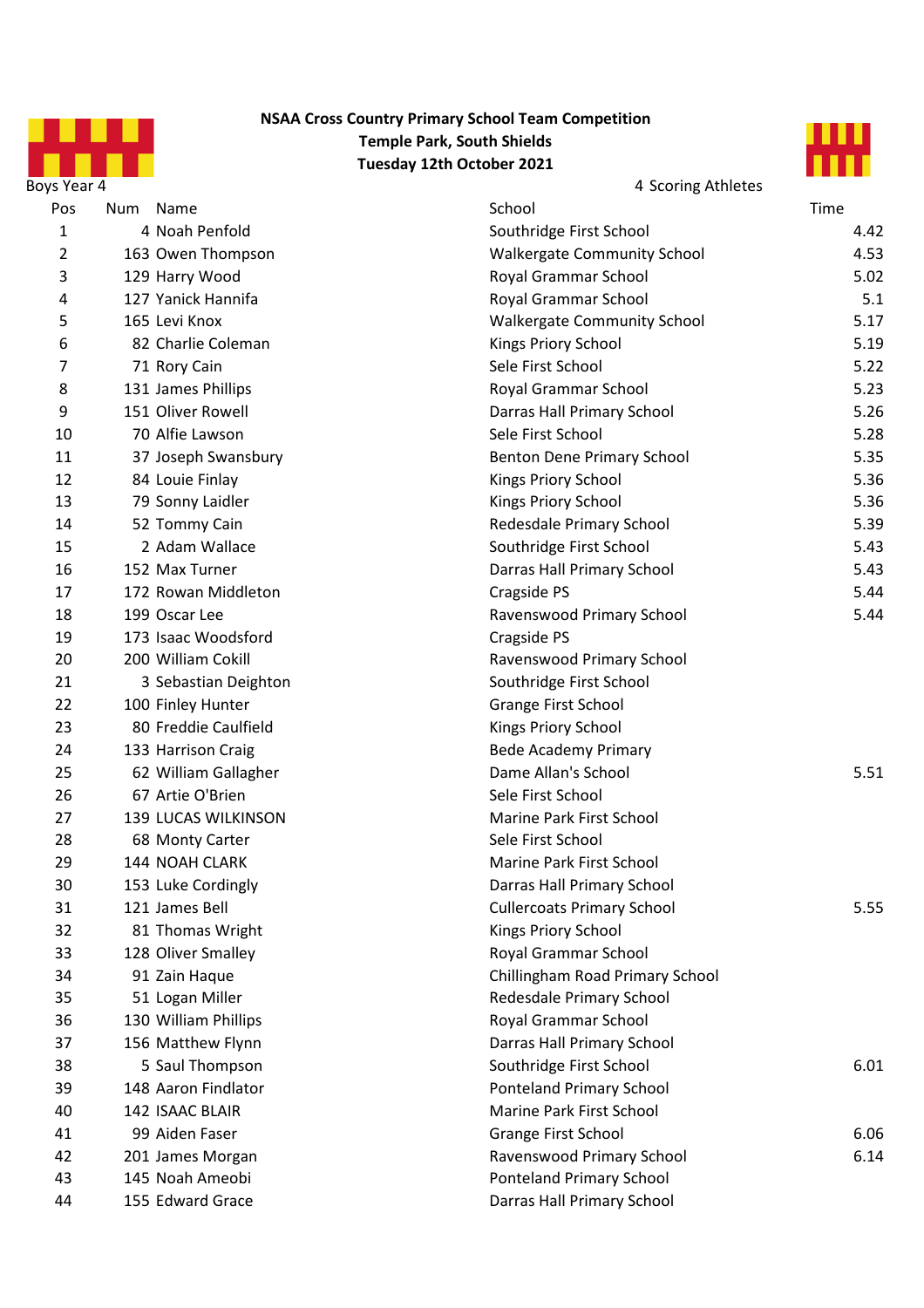

### **NSAA Cross Country Primary School Team Competition Temple Park, South Shields Tuesday 12th October 2021**



| Pos | Num Name             | School                             | Time |
|-----|----------------------|------------------------------------|------|
| 1   | 4 Noah Penfold       | Southridge First School            | 4.42 |
| 2   | 163 Owen Thompson    | <b>Walkergate Community School</b> | 4.53 |
| 3   | 129 Harry Wood       | Royal Grammar School               | 5.02 |
| 4   | 127 Yanick Hannifa   | Royal Grammar School               | 5.1  |
| 5   | 165 Levi Knox        | <b>Walkergate Community School</b> | 5.17 |
| 6   | 82 Charlie Coleman   | Kings Priory School                | 5.19 |
| 7   | 71 Rory Cain         | Sele First School                  | 5.22 |
| 8   | 131 James Phillips   | Royal Grammar School               | 5.23 |
| 9   | 151 Oliver Rowell    | Darras Hall Primary School         | 5.26 |
| 10  | 70 Alfie Lawson      | Sele First School                  | 5.28 |
| 11  | 37 Joseph Swansbury  | Benton Dene Primary School         | 5.35 |
| 12  | 84 Louie Finlay      | Kings Priory School                | 5.36 |
| 13  | 79 Sonny Laidler     | Kings Priory School                | 5.36 |
| 14  | 52 Tommy Cain        | Redesdale Primary School           | 5.39 |
| 15  | 2 Adam Wallace       | Southridge First School            | 5.43 |
| 16  | 152 Max Turner       | Darras Hall Primary School         | 5.43 |
| 17  | 172 Rowan Middleton  | Cragside PS                        | 5.44 |
| 18  | 199 Oscar Lee        | Ravenswood Primary School          | 5.44 |
| 19  | 173 Isaac Woodsford  | Cragside PS                        |      |
| 20  | 200 William Cokill   | Ravenswood Primary School          |      |
| 21  | 3 Sebastian Deighton | Southridge First School            |      |
| 22  | 100 Finley Hunter    | Grange First School                |      |
| 23  | 80 Freddie Caulfield | Kings Priory School                |      |
| 24  | 133 Harrison Craig   | <b>Bede Academy Primary</b>        |      |
| 25  | 62 William Gallagher | Dame Allan's School                | 5.51 |
| 26  | 67 Artie O'Brien     | Sele First School                  |      |
| 27  | 139 LUCAS WILKINSON  | Marine Park First School           |      |
| 28  | 68 Monty Carter      | Sele First School                  |      |
| 29  | 144 NOAH CLARK       | Marine Park First School           |      |
| 30  | 153 Luke Cordingly   | Darras Hall Primary School         |      |
| 31  | 121 James Bell       | <b>Cullercoats Primary School</b>  | 5.55 |
| 32  | 81 Thomas Wright     | Kings Priory School                |      |
| 33  | 128 Oliver Smalley   | Royal Grammar School               |      |
| 34  | 91 Zain Haque        | Chillingham Road Primary School    |      |
| 35  | 51 Logan Miller      | Redesdale Primary School           |      |
| 36  | 130 William Phillips | Royal Grammar School               |      |
| 37  | 156 Matthew Flynn    | Darras Hall Primary School         |      |
| 38  | 5 Saul Thompson      | Southridge First School            | 6.01 |
| 39  | 148 Aaron Findlator  | Ponteland Primary School           |      |
| 40  | 142 ISAAC BLAIR      | Marine Park First School           |      |
| 41  | 99 Aiden Faser       | Grange First School                | 6.06 |
| 42  | 201 James Morgan     | Ravenswood Primary School          | 6.14 |
| 43  | 145 Noah Ameobi      | <b>Ponteland Primary School</b>    |      |
| 44  | 155 Edward Grace     | Darras Hall Primary School         |      |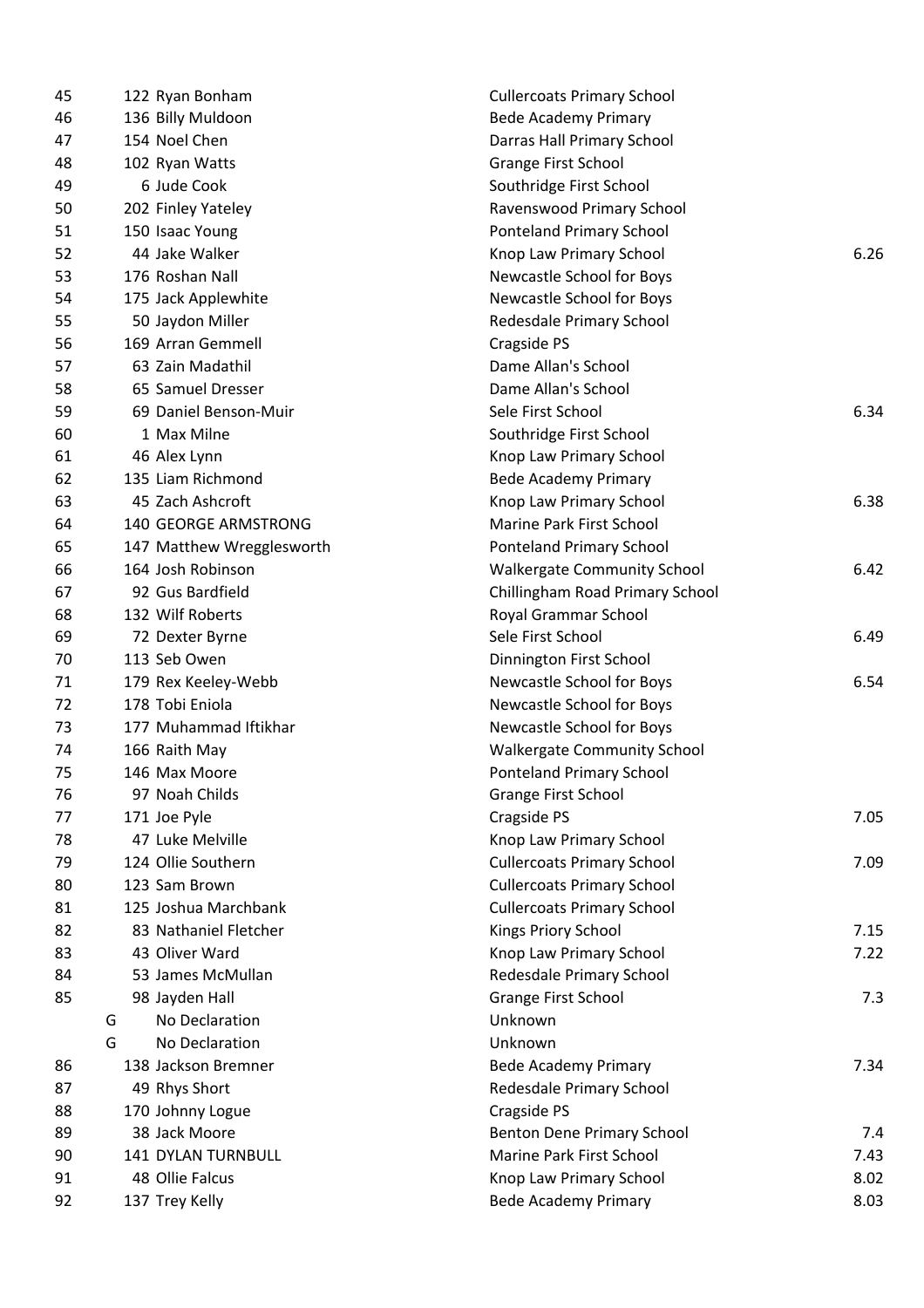|   |                | <b>Cullercoats Primary School</b>                                                                                                                                                                                                                                                                                                                                                                                                                                                                                                                                                                                                                                                                                                                                                                                                                                                                                                                                                       |                             |
|---|----------------|-----------------------------------------------------------------------------------------------------------------------------------------------------------------------------------------------------------------------------------------------------------------------------------------------------------------------------------------------------------------------------------------------------------------------------------------------------------------------------------------------------------------------------------------------------------------------------------------------------------------------------------------------------------------------------------------------------------------------------------------------------------------------------------------------------------------------------------------------------------------------------------------------------------------------------------------------------------------------------------------|-----------------------------|
|   |                | <b>Bede Academy Primary</b>                                                                                                                                                                                                                                                                                                                                                                                                                                                                                                                                                                                                                                                                                                                                                                                                                                                                                                                                                             |                             |
|   |                | Darras Hall Primary School                                                                                                                                                                                                                                                                                                                                                                                                                                                                                                                                                                                                                                                                                                                                                                                                                                                                                                                                                              |                             |
|   |                | Grange First School                                                                                                                                                                                                                                                                                                                                                                                                                                                                                                                                                                                                                                                                                                                                                                                                                                                                                                                                                                     |                             |
|   |                | Southridge First School                                                                                                                                                                                                                                                                                                                                                                                                                                                                                                                                                                                                                                                                                                                                                                                                                                                                                                                                                                 |                             |
|   |                | Ravenswood Primary School                                                                                                                                                                                                                                                                                                                                                                                                                                                                                                                                                                                                                                                                                                                                                                                                                                                                                                                                                               |                             |
|   |                | <b>Ponteland Primary School</b>                                                                                                                                                                                                                                                                                                                                                                                                                                                                                                                                                                                                                                                                                                                                                                                                                                                                                                                                                         |                             |
|   |                | Knop Law Primary School                                                                                                                                                                                                                                                                                                                                                                                                                                                                                                                                                                                                                                                                                                                                                                                                                                                                                                                                                                 | 6.26                        |
|   |                | Newcastle School for Boys                                                                                                                                                                                                                                                                                                                                                                                                                                                                                                                                                                                                                                                                                                                                                                                                                                                                                                                                                               |                             |
|   |                | Newcastle School for Boys                                                                                                                                                                                                                                                                                                                                                                                                                                                                                                                                                                                                                                                                                                                                                                                                                                                                                                                                                               |                             |
|   |                | Redesdale Primary School                                                                                                                                                                                                                                                                                                                                                                                                                                                                                                                                                                                                                                                                                                                                                                                                                                                                                                                                                                |                             |
|   |                | Cragside PS                                                                                                                                                                                                                                                                                                                                                                                                                                                                                                                                                                                                                                                                                                                                                                                                                                                                                                                                                                             |                             |
|   |                | Dame Allan's School                                                                                                                                                                                                                                                                                                                                                                                                                                                                                                                                                                                                                                                                                                                                                                                                                                                                                                                                                                     |                             |
|   |                | Dame Allan's School                                                                                                                                                                                                                                                                                                                                                                                                                                                                                                                                                                                                                                                                                                                                                                                                                                                                                                                                                                     |                             |
|   |                | Sele First School                                                                                                                                                                                                                                                                                                                                                                                                                                                                                                                                                                                                                                                                                                                                                                                                                                                                                                                                                                       | 6.34                        |
|   |                | Southridge First School                                                                                                                                                                                                                                                                                                                                                                                                                                                                                                                                                                                                                                                                                                                                                                                                                                                                                                                                                                 |                             |
|   |                | Knop Law Primary School                                                                                                                                                                                                                                                                                                                                                                                                                                                                                                                                                                                                                                                                                                                                                                                                                                                                                                                                                                 |                             |
|   |                | <b>Bede Academy Primary</b>                                                                                                                                                                                                                                                                                                                                                                                                                                                                                                                                                                                                                                                                                                                                                                                                                                                                                                                                                             |                             |
|   |                | Knop Law Primary School                                                                                                                                                                                                                                                                                                                                                                                                                                                                                                                                                                                                                                                                                                                                                                                                                                                                                                                                                                 | 6.38                        |
|   |                | Marine Park First School                                                                                                                                                                                                                                                                                                                                                                                                                                                                                                                                                                                                                                                                                                                                                                                                                                                                                                                                                                |                             |
|   |                | <b>Ponteland Primary School</b>                                                                                                                                                                                                                                                                                                                                                                                                                                                                                                                                                                                                                                                                                                                                                                                                                                                                                                                                                         |                             |
|   |                | <b>Walkergate Community School</b>                                                                                                                                                                                                                                                                                                                                                                                                                                                                                                                                                                                                                                                                                                                                                                                                                                                                                                                                                      | 6.42                        |
|   |                | Chillingham Road Primary School                                                                                                                                                                                                                                                                                                                                                                                                                                                                                                                                                                                                                                                                                                                                                                                                                                                                                                                                                         |                             |
|   |                | Royal Grammar School                                                                                                                                                                                                                                                                                                                                                                                                                                                                                                                                                                                                                                                                                                                                                                                                                                                                                                                                                                    |                             |
|   |                | Sele First School                                                                                                                                                                                                                                                                                                                                                                                                                                                                                                                                                                                                                                                                                                                                                                                                                                                                                                                                                                       | 6.49                        |
|   |                | Dinnington First School                                                                                                                                                                                                                                                                                                                                                                                                                                                                                                                                                                                                                                                                                                                                                                                                                                                                                                                                                                 |                             |
|   |                | Newcastle School for Boys                                                                                                                                                                                                                                                                                                                                                                                                                                                                                                                                                                                                                                                                                                                                                                                                                                                                                                                                                               | 6.54                        |
|   |                | Newcastle School for Boys                                                                                                                                                                                                                                                                                                                                                                                                                                                                                                                                                                                                                                                                                                                                                                                                                                                                                                                                                               |                             |
|   |                | Newcastle School for Boys                                                                                                                                                                                                                                                                                                                                                                                                                                                                                                                                                                                                                                                                                                                                                                                                                                                                                                                                                               |                             |
|   |                | <b>Walkergate Community School</b>                                                                                                                                                                                                                                                                                                                                                                                                                                                                                                                                                                                                                                                                                                                                                                                                                                                                                                                                                      |                             |
|   |                | <b>Ponteland Primary School</b>                                                                                                                                                                                                                                                                                                                                                                                                                                                                                                                                                                                                                                                                                                                                                                                                                                                                                                                                                         |                             |
|   |                | <b>Grange First School</b>                                                                                                                                                                                                                                                                                                                                                                                                                                                                                                                                                                                                                                                                                                                                                                                                                                                                                                                                                              |                             |
|   |                | Cragside PS                                                                                                                                                                                                                                                                                                                                                                                                                                                                                                                                                                                                                                                                                                                                                                                                                                                                                                                                                                             | 7.05                        |
|   |                | Knop Law Primary School                                                                                                                                                                                                                                                                                                                                                                                                                                                                                                                                                                                                                                                                                                                                                                                                                                                                                                                                                                 |                             |
|   |                | <b>Cullercoats Primary School</b>                                                                                                                                                                                                                                                                                                                                                                                                                                                                                                                                                                                                                                                                                                                                                                                                                                                                                                                                                       | 7.09                        |
|   |                | <b>Cullercoats Primary School</b>                                                                                                                                                                                                                                                                                                                                                                                                                                                                                                                                                                                                                                                                                                                                                                                                                                                                                                                                                       |                             |
|   |                | <b>Cullercoats Primary School</b>                                                                                                                                                                                                                                                                                                                                                                                                                                                                                                                                                                                                                                                                                                                                                                                                                                                                                                                                                       |                             |
|   |                | Kings Priory School                                                                                                                                                                                                                                                                                                                                                                                                                                                                                                                                                                                                                                                                                                                                                                                                                                                                                                                                                                     | 7.15                        |
|   |                | Knop Law Primary School                                                                                                                                                                                                                                                                                                                                                                                                                                                                                                                                                                                                                                                                                                                                                                                                                                                                                                                                                                 | 7.22                        |
|   |                | Redesdale Primary School                                                                                                                                                                                                                                                                                                                                                                                                                                                                                                                                                                                                                                                                                                                                                                                                                                                                                                                                                                |                             |
|   |                | <b>Grange First School</b>                                                                                                                                                                                                                                                                                                                                                                                                                                                                                                                                                                                                                                                                                                                                                                                                                                                                                                                                                              | 7.3                         |
| G | No Declaration | Unknown                                                                                                                                                                                                                                                                                                                                                                                                                                                                                                                                                                                                                                                                                                                                                                                                                                                                                                                                                                                 |                             |
| G | No Declaration | Unknown                                                                                                                                                                                                                                                                                                                                                                                                                                                                                                                                                                                                                                                                                                                                                                                                                                                                                                                                                                                 |                             |
|   |                |                                                                                                                                                                                                                                                                                                                                                                                                                                                                                                                                                                                                                                                                                                                                                                                                                                                                                                                                                                                         | 7.34                        |
|   |                | Redesdale Primary School                                                                                                                                                                                                                                                                                                                                                                                                                                                                                                                                                                                                                                                                                                                                                                                                                                                                                                                                                                |                             |
|   |                | Cragside PS                                                                                                                                                                                                                                                                                                                                                                                                                                                                                                                                                                                                                                                                                                                                                                                                                                                                                                                                                                             |                             |
|   |                | Benton Dene Primary School                                                                                                                                                                                                                                                                                                                                                                                                                                                                                                                                                                                                                                                                                                                                                                                                                                                                                                                                                              | 7.4                         |
|   |                | Marine Park First School                                                                                                                                                                                                                                                                                                                                                                                                                                                                                                                                                                                                                                                                                                                                                                                                                                                                                                                                                                | 7.43                        |
|   |                | Knop Law Primary School                                                                                                                                                                                                                                                                                                                                                                                                                                                                                                                                                                                                                                                                                                                                                                                                                                                                                                                                                                 | 8.02                        |
|   |                | <b>Bede Academy Primary</b>                                                                                                                                                                                                                                                                                                                                                                                                                                                                                                                                                                                                                                                                                                                                                                                                                                                                                                                                                             | 8.03                        |
|   |                | 122 Ryan Bonham<br>136 Billy Muldoon<br>154 Noel Chen<br>102 Ryan Watts<br>6 Jude Cook<br>202 Finley Yateley<br>150 Isaac Young<br>44 Jake Walker<br>176 Roshan Nall<br>175 Jack Applewhite<br>50 Jaydon Miller<br>169 Arran Gemmell<br>63 Zain Madathil<br>65 Samuel Dresser<br>69 Daniel Benson-Muir<br>1 Max Milne<br>46 Alex Lynn<br>135 Liam Richmond<br>45 Zach Ashcroft<br>140 GEORGE ARMSTRONG<br>147 Matthew Wregglesworth<br>164 Josh Robinson<br>92 Gus Bardfield<br>132 Wilf Roberts<br>72 Dexter Byrne<br>113 Seb Owen<br>179 Rex Keeley-Webb<br>178 Tobi Eniola<br>177 Muhammad Iftikhar<br>166 Raith May<br>146 Max Moore<br>97 Noah Childs<br>171 Joe Pyle<br>47 Luke Melville<br>124 Ollie Southern<br>123 Sam Brown<br>125 Joshua Marchbank<br>83 Nathaniel Fletcher<br>43 Oliver Ward<br>53 James McMullan<br>98 Jayden Hall<br>138 Jackson Bremner<br>49 Rhys Short<br>170 Johnny Logue<br>38 Jack Moore<br>141 DYLAN TURNBULL<br>48 Ollie Falcus<br>137 Trey Kelly | <b>Bede Academy Primary</b> |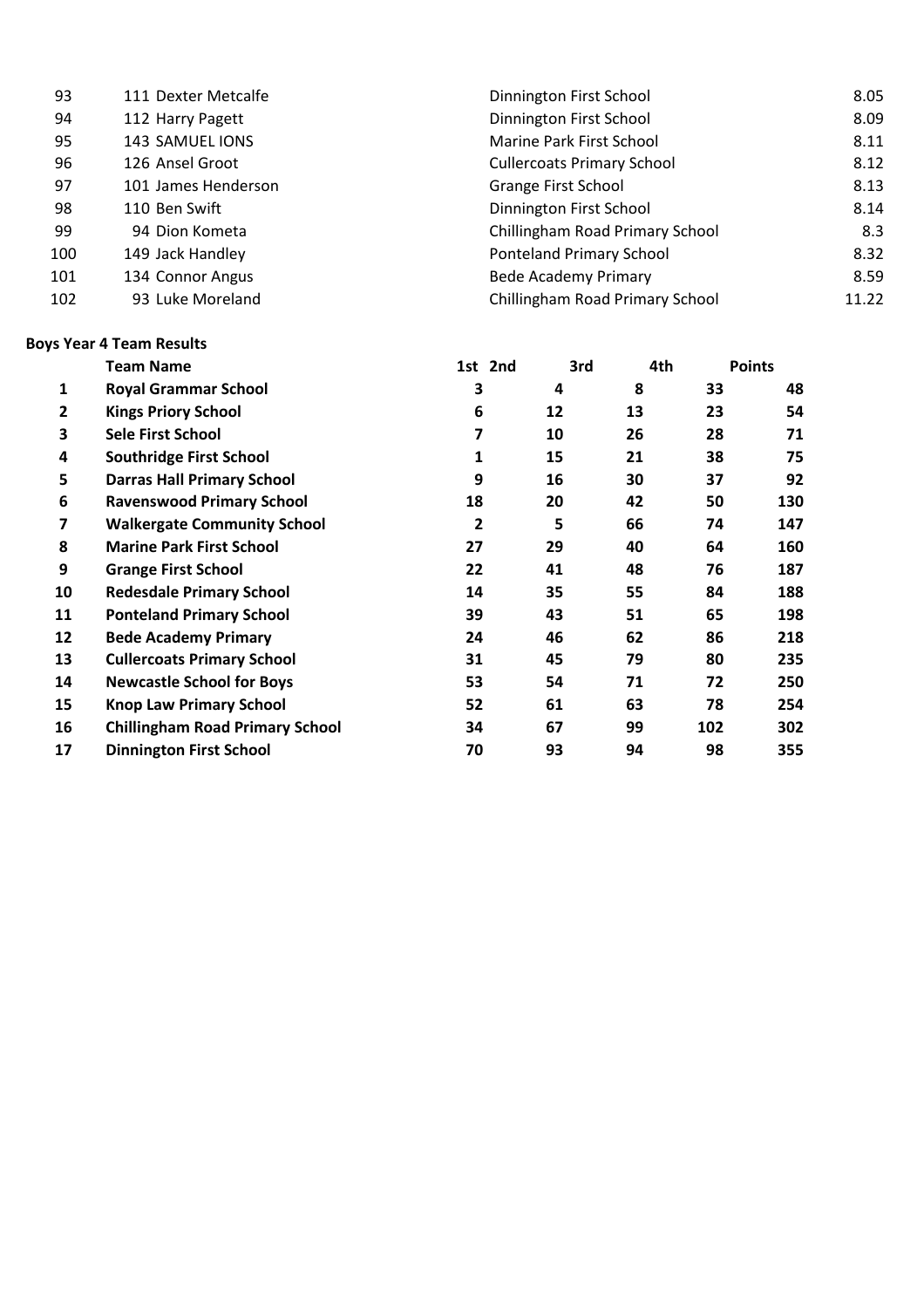| 93  | 111 Dexter Metcalfe | Dinnington First School           | 8.05  |
|-----|---------------------|-----------------------------------|-------|
| 94  | 112 Harry Pagett    | Dinnington First School           | 8.09  |
| 95  | 143 SAMUEL IONS     | Marine Park First School          | 8.11  |
| 96  | 126 Ansel Groot     | <b>Cullercoats Primary School</b> | 8.12  |
| 97  | 101 James Henderson | <b>Grange First School</b>        | 8.13  |
| 98  | 110 Ben Swift       | Dinnington First School           | 8.14  |
| 99  | 94 Dion Kometa      | Chillingham Road Primary School   | 8.3   |
| 100 | 149 Jack Handley    | <b>Ponteland Primary School</b>   | 8.32  |
| 101 | 134 Connor Angus    | <b>Bede Academy Primary</b>       | 8.59  |
| 102 | 93 Luke Moreland    | Chillingham Road Primary School   | 11.22 |

### **Boys Year 4 Team Results**

|    | <b>Team Name</b>                       | 1st 2nd |    | 3rd | 4th     | <b>Points</b> |
|----|----------------------------------------|---------|----|-----|---------|---------------|
| 1  | <b>Royal Grammar School</b>            | 3       | 4  |     | 8<br>33 | 48            |
| 2  | <b>Kings Priory School</b>             | 6       | 12 | 13  | 23      | 54            |
| 3  | <b>Sele First School</b>               | 7       | 10 | 26  | 28      | 71            |
| 4  | <b>Southridge First School</b>         | 1       | 15 | 21  | 38      | 75            |
| 5  | <b>Darras Hall Primary School</b>      | 9       | 16 | 30  | 37      | 92            |
| 6  | <b>Ravenswood Primary School</b>       | 18      | 20 | 42  | 50      | 130           |
| 7  | <b>Walkergate Community School</b>     | 2       | 5  | 66  | 74      | 147           |
| 8  | <b>Marine Park First School</b>        | 27      | 29 | 40  | 64      | 160           |
| 9  | <b>Grange First School</b>             | 22      | 41 | 48  | 76      | 187           |
| 10 | <b>Redesdale Primary School</b>        | 14      | 35 | 55  | 84      | 188           |
| 11 | <b>Ponteland Primary School</b>        | 39      | 43 | 51  | 65      | 198           |
| 12 | <b>Bede Academy Primary</b>            | 24      | 46 | 62  | 86      | 218           |
| 13 | <b>Cullercoats Primary School</b>      | 31      | 45 | 79  | 80      | 235           |
| 14 | <b>Newcastle School for Boys</b>       | 53      | 54 | 71  | 72      | 250           |
| 15 | <b>Knop Law Primary School</b>         | 52      | 61 | 63  | 78      | 254           |
| 16 | <b>Chillingham Road Primary School</b> | 34      | 67 | 99  | 102     | 302           |
| 17 | <b>Dinnington First School</b>         | 70      | 93 | 94  | 98      | 355           |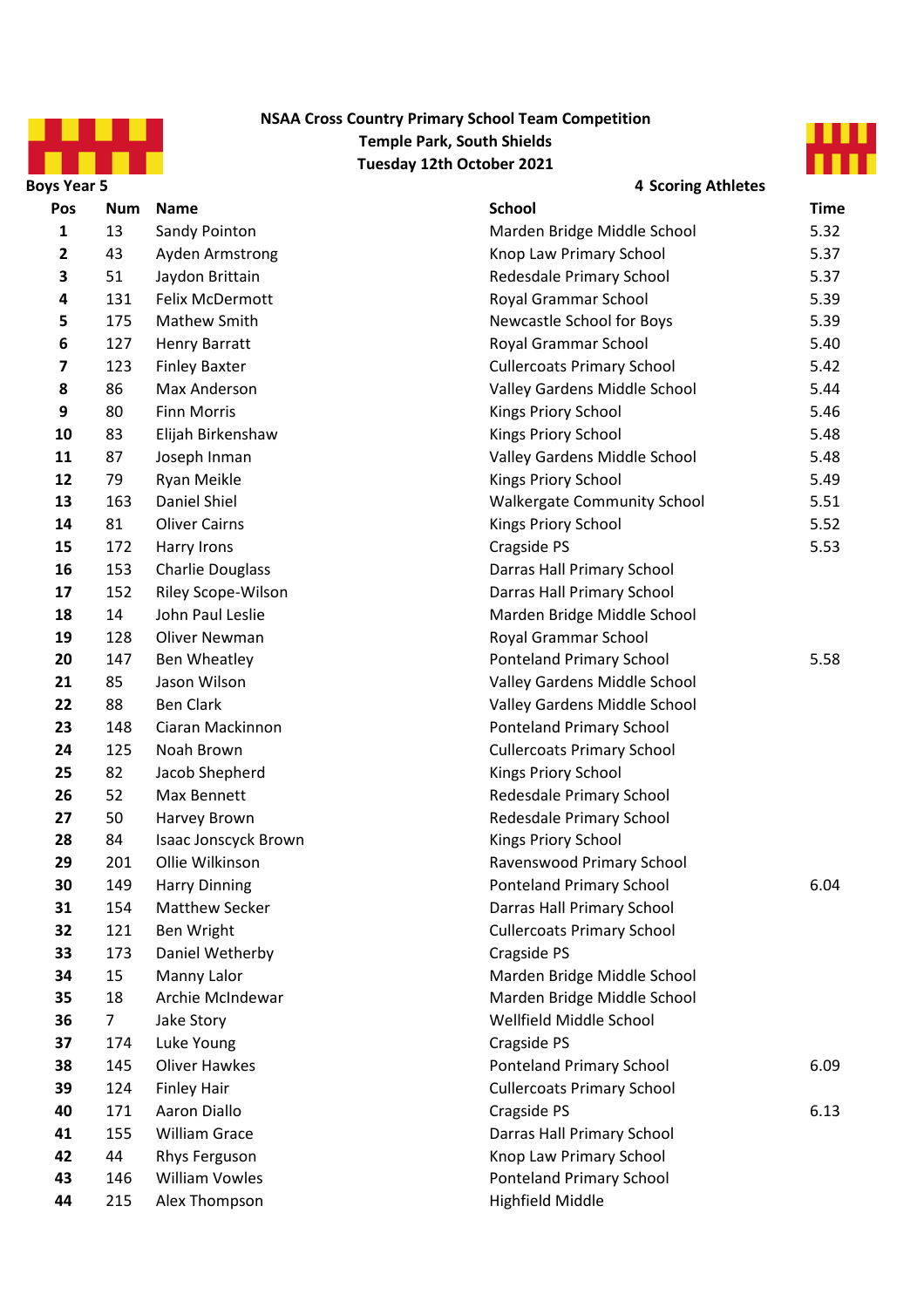

### **Tuesday 12th October 2021 NSAA Cross Country Primary School Team Competition Temple Park, South Shields**



| <b>Boys Year 5</b>      |                |                         | <b>4 Scoring Athletes</b>          |             |
|-------------------------|----------------|-------------------------|------------------------------------|-------------|
| <b>Pos</b>              | <b>Num</b>     | <b>Name</b>             | <b>School</b>                      | <b>Time</b> |
| $\mathbf{1}$            | 13             | Sandy Pointon           | Marden Bridge Middle School        | 5.32        |
| $\mathbf{2}$            | 43             | Ayden Armstrong         | Knop Law Primary School            | 5.37        |
| 3                       | 51             | Jaydon Brittain         | Redesdale Primary School           | 5.37        |
| 4                       | 131            | Felix McDermott         | Royal Grammar School               | 5.39        |
| 5                       | 175            | <b>Mathew Smith</b>     | Newcastle School for Boys          | 5.39        |
| 6                       | 127            | <b>Henry Barratt</b>    | Royal Grammar School               | 5.40        |
| $\overline{\mathbf{z}}$ | 123            | <b>Finley Baxter</b>    | <b>Cullercoats Primary School</b>  | 5.42        |
| 8                       | 86             | Max Anderson            | Valley Gardens Middle School       | 5.44        |
| 9                       | 80             | <b>Finn Morris</b>      | Kings Priory School                | 5.46        |
| 10                      | 83             | Elijah Birkenshaw       | Kings Priory School                | 5.48        |
| 11                      | 87             | Joseph Inman            | Valley Gardens Middle School       | 5.48        |
| 12                      | 79             | Ryan Meikle             | Kings Priory School                | 5.49        |
| 13                      | 163            | Daniel Shiel            | <b>Walkergate Community School</b> | 5.51        |
| 14                      | 81             | <b>Oliver Cairns</b>    | Kings Priory School                | 5.52        |
| 15                      | 172            | Harry Irons             | Cragside PS                        | 5.53        |
| 16                      | 153            | <b>Charlie Douglass</b> | Darras Hall Primary School         |             |
| 17                      | 152            | Riley Scope-Wilson      | Darras Hall Primary School         |             |
| 18                      | 14             | John Paul Leslie        | Marden Bridge Middle School        |             |
| 19                      | 128            | Oliver Newman           | Royal Grammar School               |             |
| 20                      | 147            | Ben Wheatley            | <b>Ponteland Primary School</b>    | 5.58        |
| 21                      | 85             | Jason Wilson            | Valley Gardens Middle School       |             |
| 22                      | 88             | <b>Ben Clark</b>        | Valley Gardens Middle School       |             |
| 23                      | 148            | Ciaran Mackinnon        | <b>Ponteland Primary School</b>    |             |
| 24                      | 125            | Noah Brown              | <b>Cullercoats Primary School</b>  |             |
| 25                      | 82             | Jacob Shepherd          | Kings Priory School                |             |
| 26                      | 52             | Max Bennett             | Redesdale Primary School           |             |
| 27                      | 50             | Harvey Brown            | Redesdale Primary School           |             |
| 28                      | 84             | Isaac Jonscyck Brown    | Kings Priory School                |             |
| 29                      | 201            | Ollie Wilkinson         | Ravenswood Primary School          |             |
| 30                      | 149            | <b>Harry Dinning</b>    | <b>Ponteland Primary School</b>    | 6.04        |
| 31                      | 154            | Matthew Secker          | Darras Hall Primary School         |             |
| 32                      | 121            | Ben Wright              | <b>Cullercoats Primary School</b>  |             |
| 33                      | 173            | Daniel Wetherby         | Cragside PS                        |             |
| 34                      | 15             | Manny Lalor             | Marden Bridge Middle School        |             |
| 35                      | 18             | Archie McIndewar        | Marden Bridge Middle School        |             |
| 36                      | 7 <sup>1</sup> | Jake Story              | Wellfield Middle School            |             |
| 37                      | 174            | Luke Young              | Cragside PS                        |             |
| 38                      | 145            | <b>Oliver Hawkes</b>    | <b>Ponteland Primary School</b>    | 6.09        |
| 39                      | 124            | <b>Finley Hair</b>      | <b>Cullercoats Primary School</b>  |             |
| 40                      | 171            | Aaron Diallo            | Cragside PS                        | 6.13        |
| 41                      | 155            | <b>William Grace</b>    | Darras Hall Primary School         |             |
| 42                      | 44             | Rhys Ferguson           | Knop Law Primary School            |             |
| 43                      | 146            | <b>William Vowles</b>   | <b>Ponteland Primary School</b>    |             |
| 44                      | 215            | Alex Thompson           | Highfield Middle                   |             |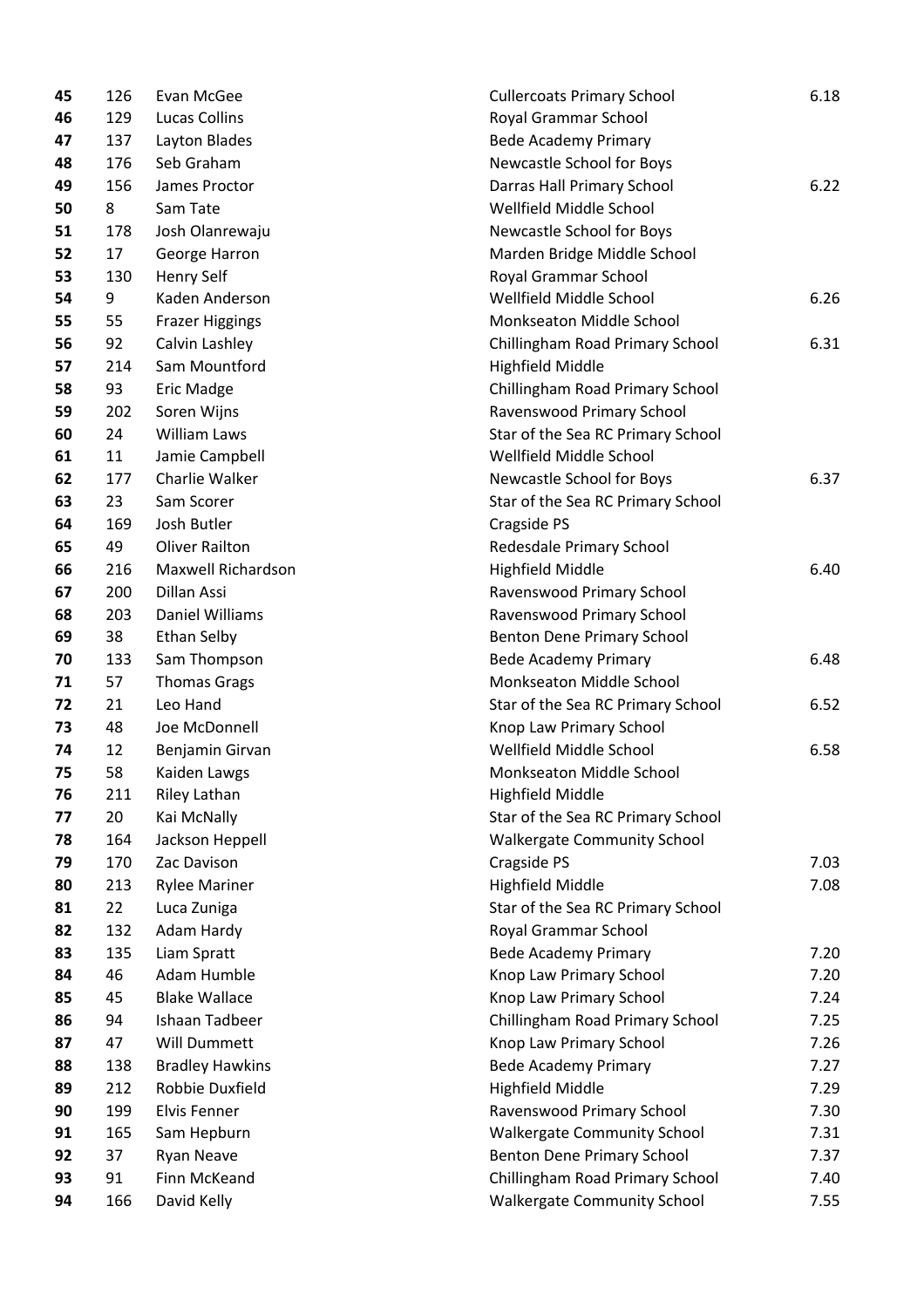| 45 | 126 | Evan McGee             | <b>Cullercoats Primary School</b>  | 6.18 |
|----|-----|------------------------|------------------------------------|------|
| 46 | 129 | <b>Lucas Collins</b>   | Royal Grammar School               |      |
| 47 | 137 | Layton Blades          | <b>Bede Academy Primary</b>        |      |
| 48 | 176 | Seb Graham             | Newcastle School for Boys          |      |
| 49 | 156 | James Proctor          | Darras Hall Primary School         | 6.22 |
| 50 | 8   | Sam Tate               | Wellfield Middle School            |      |
| 51 | 178 | Josh Olanrewaju        | Newcastle School for Boys          |      |
| 52 | 17  | George Harron          | Marden Bridge Middle School        |      |
| 53 | 130 | <b>Henry Self</b>      | Royal Grammar School               |      |
| 54 | 9   | Kaden Anderson         | Wellfield Middle School            | 6.26 |
| 55 | 55  | <b>Frazer Higgings</b> | Monkseaton Middle School           |      |
| 56 | 92  | Calvin Lashley         | Chillingham Road Primary School    | 6.31 |
| 57 | 214 | Sam Mountford          | <b>Highfield Middle</b>            |      |
| 58 | 93  | <b>Eric Madge</b>      | Chillingham Road Primary School    |      |
| 59 | 202 | Soren Wijns            | Ravenswood Primary School          |      |
| 60 | 24  | <b>William Laws</b>    | Star of the Sea RC Primary School  |      |
| 61 | 11  | Jamie Campbell         | Wellfield Middle School            |      |
| 62 | 177 | Charlie Walker         | Newcastle School for Boys          | 6.37 |
| 63 | 23  | Sam Scorer             | Star of the Sea RC Primary School  |      |
| 64 | 169 | Josh Butler            | Cragside PS                        |      |
| 65 | 49  | <b>Oliver Railton</b>  | Redesdale Primary School           |      |
| 66 | 216 | Maxwell Richardson     | <b>Highfield Middle</b>            | 6.40 |
| 67 | 200 | Dillan Assi            | Ravenswood Primary School          |      |
| 68 | 203 | Daniel Williams        | Ravenswood Primary School          |      |
| 69 | 38  | Ethan Selby            | Benton Dene Primary School         |      |
| 70 | 133 | Sam Thompson           | <b>Bede Academy Primary</b>        | 6.48 |
| 71 | 57  | <b>Thomas Grags</b>    | Monkseaton Middle School           |      |
| 72 | 21  | Leo Hand               | Star of the Sea RC Primary School  | 6.52 |
| 73 | 48  | Joe McDonnell          | Knop Law Primary School            |      |
| 74 | 12  | Benjamin Girvan        | Wellfield Middle School            | 6.58 |
| 75 | 58  | Kaiden Lawgs           | Monkseaton Middle School           |      |
| 76 | 211 | Riley Lathan           | <b>Highfield Middle</b>            |      |
| 77 | 20  | Kai McNally            | Star of the Sea RC Primary School  |      |
| 78 | 164 | Jackson Heppell        | <b>Walkergate Community School</b> |      |
| 79 | 170 | Zac Davison            | Cragside PS                        | 7.03 |
| 80 | 213 | <b>Rylee Mariner</b>   | <b>Highfield Middle</b>            | 7.08 |
| 81 | 22  | Luca Zuniga            | Star of the Sea RC Primary School  |      |
| 82 | 132 | Adam Hardy             | Royal Grammar School               |      |
| 83 | 135 | Liam Spratt            | <b>Bede Academy Primary</b>        | 7.20 |
| 84 | 46  | Adam Humble            | Knop Law Primary School            | 7.20 |
| 85 | 45  | <b>Blake Wallace</b>   | Knop Law Primary School            | 7.24 |
| 86 | 94  | Ishaan Tadbeer         | Chillingham Road Primary School    | 7.25 |
| 87 | 47  | Will Dummett           | Knop Law Primary School            | 7.26 |
| 88 | 138 | <b>Bradley Hawkins</b> | <b>Bede Academy Primary</b>        | 7.27 |
| 89 | 212 | Robbie Duxfield        | <b>Highfield Middle</b>            | 7.29 |
| 90 | 199 | Elvis Fenner           | Ravenswood Primary School          | 7.30 |
| 91 | 165 | Sam Hepburn            | <b>Walkergate Community School</b> | 7.31 |
| 92 | 37  | <b>Ryan Neave</b>      | Benton Dene Primary School         | 7.37 |
| 93 | 91  | Finn McKeand           | Chillingham Road Primary School    | 7.40 |
| 94 | 166 | David Kelly            | <b>Walkergate Community School</b> | 7.55 |
|    |     |                        |                                    |      |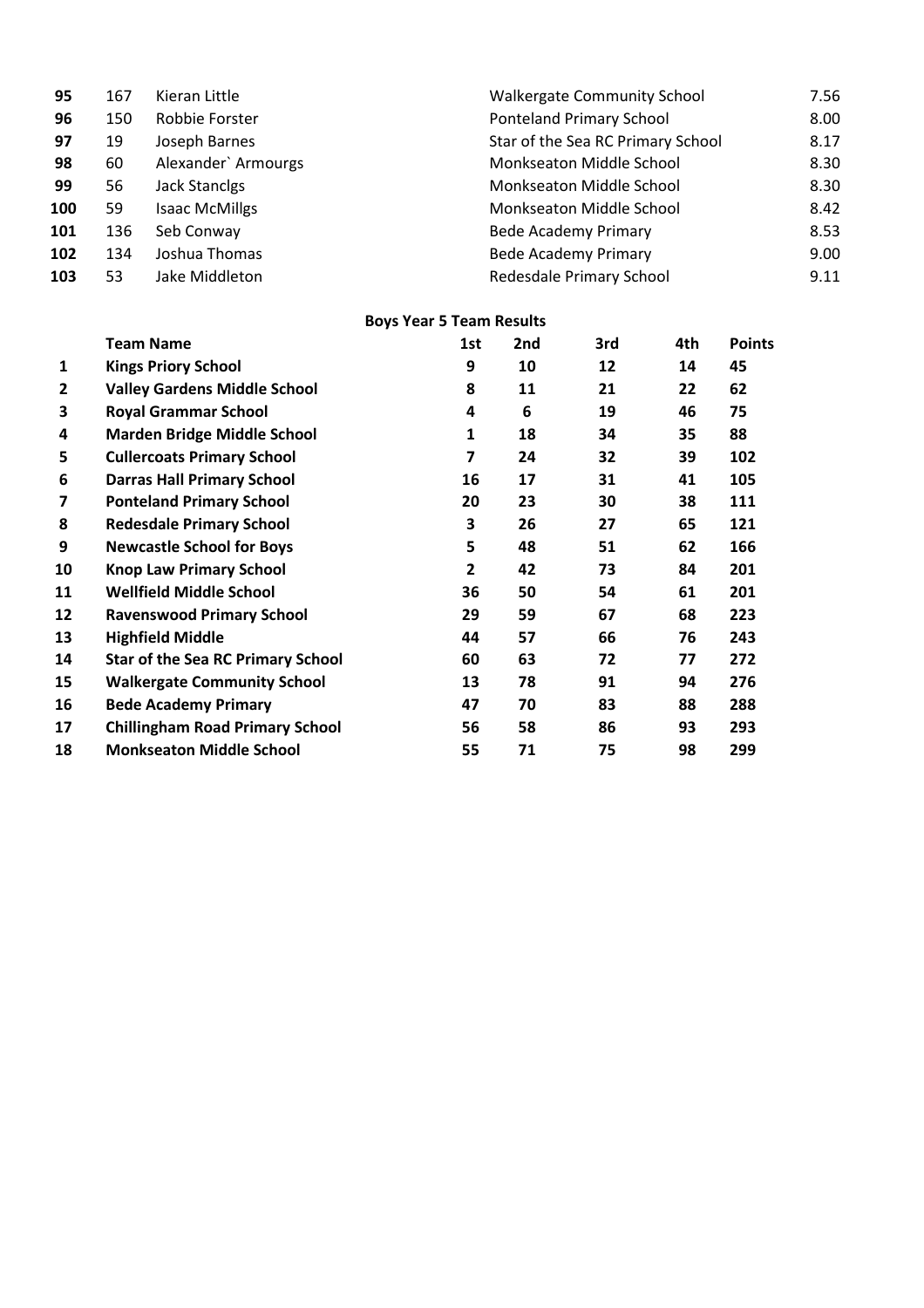| 95  | 167 | Kieran Little         | <b>Walkergate Community School</b> | 7.56 |
|-----|-----|-----------------------|------------------------------------|------|
| 96  | 150 | Robbie Forster        | <b>Ponteland Primary School</b>    | 8.00 |
| 97  | 19  | Joseph Barnes         | Star of the Sea RC Primary School  | 8.17 |
| 98  | 60  | Alexander` Armourgs   | Monkseaton Middle School           | 8.30 |
| 99  | 56  | <b>Jack Stanclgs</b>  | Monkseaton Middle School           | 8.30 |
| 100 | 59  | <b>Isaac McMillgs</b> | Monkseaton Middle School           | 8.42 |
| 101 | 136 | Seb Conway            | <b>Bede Academy Primary</b>        | 8.53 |
| 102 | 134 | Joshua Thomas         | <b>Bede Academy Primary</b>        | 9.00 |
| 103 | 53  | Jake Middleton        | Redesdale Primary School           | 9.11 |

# **Boys Year 5 Team Results**

|    | <b>Team Name</b>                         | 1st | 2nd | 3rd | 4th | <b>Points</b> |
|----|------------------------------------------|-----|-----|-----|-----|---------------|
| 1  | <b>Kings Priory School</b>               | 9   | 10  | 12  | 14  | 45            |
| 2  | <b>Valley Gardens Middle School</b>      | 8   | 11  | 21  | 22  | 62            |
| 3  | <b>Royal Grammar School</b>              | 4   | 6   | 19  | 46  | 75            |
| 4  | <b>Marden Bridge Middle School</b>       | 1   | 18  | 34  | 35  | 88            |
| 5  | <b>Cullercoats Primary School</b>        | 7   | 24  | 32  | 39  | 102           |
| 6  | <b>Darras Hall Primary School</b>        | 16  | 17  | 31  | 41  | 105           |
| 7  | <b>Ponteland Primary School</b>          | 20  | 23  | 30  | 38  | 111           |
| 8  | <b>Redesdale Primary School</b>          | 3   | 26  | 27  | 65  | 121           |
| 9  | <b>Newcastle School for Boys</b>         | 5   | 48  | 51  | 62  | 166           |
| 10 | <b>Knop Law Primary School</b>           | 2   | 42  | 73  | 84  | 201           |
| 11 | <b>Wellfield Middle School</b>           | 36  | 50  | 54  | 61  | 201           |
| 12 | <b>Ravenswood Primary School</b>         | 29  | 59  | 67  | 68  | 223           |
| 13 | <b>Highfield Middle</b>                  | 44  | 57  | 66  | 76  | 243           |
| 14 | <b>Star of the Sea RC Primary School</b> | 60  | 63  | 72  | 77  | 272           |
| 15 | <b>Walkergate Community School</b>       | 13  | 78  | 91  | 94  | 276           |
| 16 | <b>Bede Academy Primary</b>              | 47  | 70  | 83  | 88  | 288           |
| 17 | <b>Chillingham Road Primary School</b>   | 56  | 58  | 86  | 93  | 293           |
| 18 | <b>Monkseaton Middle School</b>          | 55  | 71  | 75  | 98  | 299           |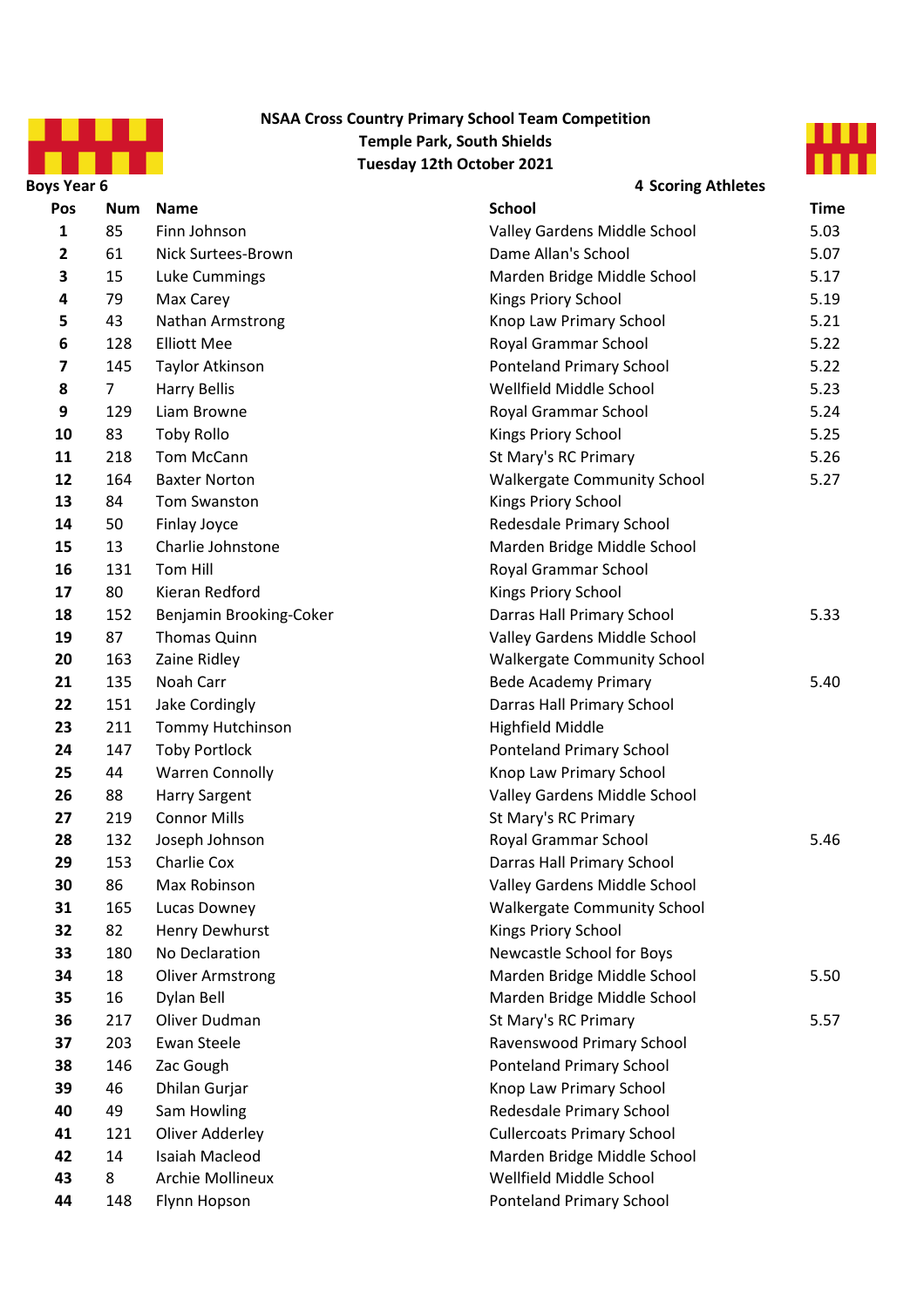

### **NSAA Cross Country Primary School Team Competition Temple Park, South Shields Tuesday 12th October 2021**



| <b>Boys Year 6</b>      |                |                         | <b>4 Scoring Athletes</b>          |             |
|-------------------------|----------------|-------------------------|------------------------------------|-------------|
| Pos                     | <b>Num</b>     | <b>Name</b>             | <b>School</b>                      | <b>Time</b> |
| $\mathbf{1}$            | 85             | Finn Johnson            | Valley Gardens Middle School       | 5.03        |
| $\mathbf{2}$            | 61             | Nick Surtees-Brown      | Dame Allan's School                | 5.07        |
| 3                       | 15             | Luke Cummings           | Marden Bridge Middle School        | 5.17        |
| 4                       | 79             | Max Carey               | Kings Priory School                | 5.19        |
| 5                       | 43             | Nathan Armstrong        | Knop Law Primary School            | 5.21        |
| 6                       | 128            | <b>Elliott Mee</b>      | Royal Grammar School               | 5.22        |
| $\overline{\mathbf{z}}$ | 145            | Taylor Atkinson         | <b>Ponteland Primary School</b>    | 5.22        |
| 8                       | $\overline{7}$ | <b>Harry Bellis</b>     | Wellfield Middle School            | 5.23        |
| 9                       | 129            | Liam Browne             | Royal Grammar School               | 5.24        |
| 10                      | 83             | <b>Toby Rollo</b>       | Kings Priory School                | 5.25        |
| 11                      | 218            | Tom McCann              | St Mary's RC Primary               | 5.26        |
| 12                      | 164            | <b>Baxter Norton</b>    | <b>Walkergate Community School</b> | 5.27        |
| 13                      | 84             | Tom Swanston            | Kings Priory School                |             |
| 14                      | 50             | Finlay Joyce            | Redesdale Primary School           |             |
| 15                      | 13             | Charlie Johnstone       | Marden Bridge Middle School        |             |
| 16                      | 131            | Tom Hill                | Royal Grammar School               |             |
| 17                      | 80             | Kieran Redford          | Kings Priory School                |             |
| 18                      | 152            | Benjamin Brooking-Coker | Darras Hall Primary School         | 5.33        |
| 19                      | 87             | Thomas Quinn            | Valley Gardens Middle School       |             |
| 20                      | 163            | Zaine Ridley            | <b>Walkergate Community School</b> |             |
| 21                      | 135            | Noah Carr               | <b>Bede Academy Primary</b>        | 5.40        |
| 22                      | 151            | Jake Cordingly          | Darras Hall Primary School         |             |
| 23                      | 211            | Tommy Hutchinson        | <b>Highfield Middle</b>            |             |
| 24                      | 147            | <b>Toby Portlock</b>    | <b>Ponteland Primary School</b>    |             |
| 25                      | 44             | <b>Warren Connolly</b>  | Knop Law Primary School            |             |
| 26                      | 88             | <b>Harry Sargent</b>    | Valley Gardens Middle School       |             |
| 27                      | 219            | <b>Connor Mills</b>     | St Mary's RC Primary               |             |
| 28                      | 132            | Joseph Johnson          | Royal Grammar School               | 5.46        |
| 29                      | 153            | Charlie Cox             | Darras Hall Primary School         |             |
| 30                      | 86             | Max Robinson            | Valley Gardens Middle School       |             |
| 31                      | 165            | Lucas Downey            | <b>Walkergate Community School</b> |             |
| 32                      | 82             | Henry Dewhurst          | Kings Priory School                |             |
| 33                      | 180            | No Declaration          | Newcastle School for Boys          |             |
| 34                      | 18             | <b>Oliver Armstrong</b> | Marden Bridge Middle School        | 5.50        |
| 35                      | 16             | Dylan Bell              | Marden Bridge Middle School        |             |
| 36                      | 217            | Oliver Dudman           | St Mary's RC Primary               | 5.57        |
| 37                      | 203            | Ewan Steele             | Ravenswood Primary School          |             |
| 38                      | 146            | Zac Gough               | <b>Ponteland Primary School</b>    |             |
| 39                      | 46             | Dhilan Gurjar           | Knop Law Primary School            |             |
| 40                      | 49             | Sam Howling             | Redesdale Primary School           |             |
| 41                      | 121            | Oliver Adderley         | <b>Cullercoats Primary School</b>  |             |
| 42                      | 14             | Isaiah Macleod          | Marden Bridge Middle School        |             |
| 43                      | 8              | Archie Mollineux        | Wellfield Middle School            |             |
| 44                      | 148            | Flynn Hopson            | <b>Ponteland Primary School</b>    |             |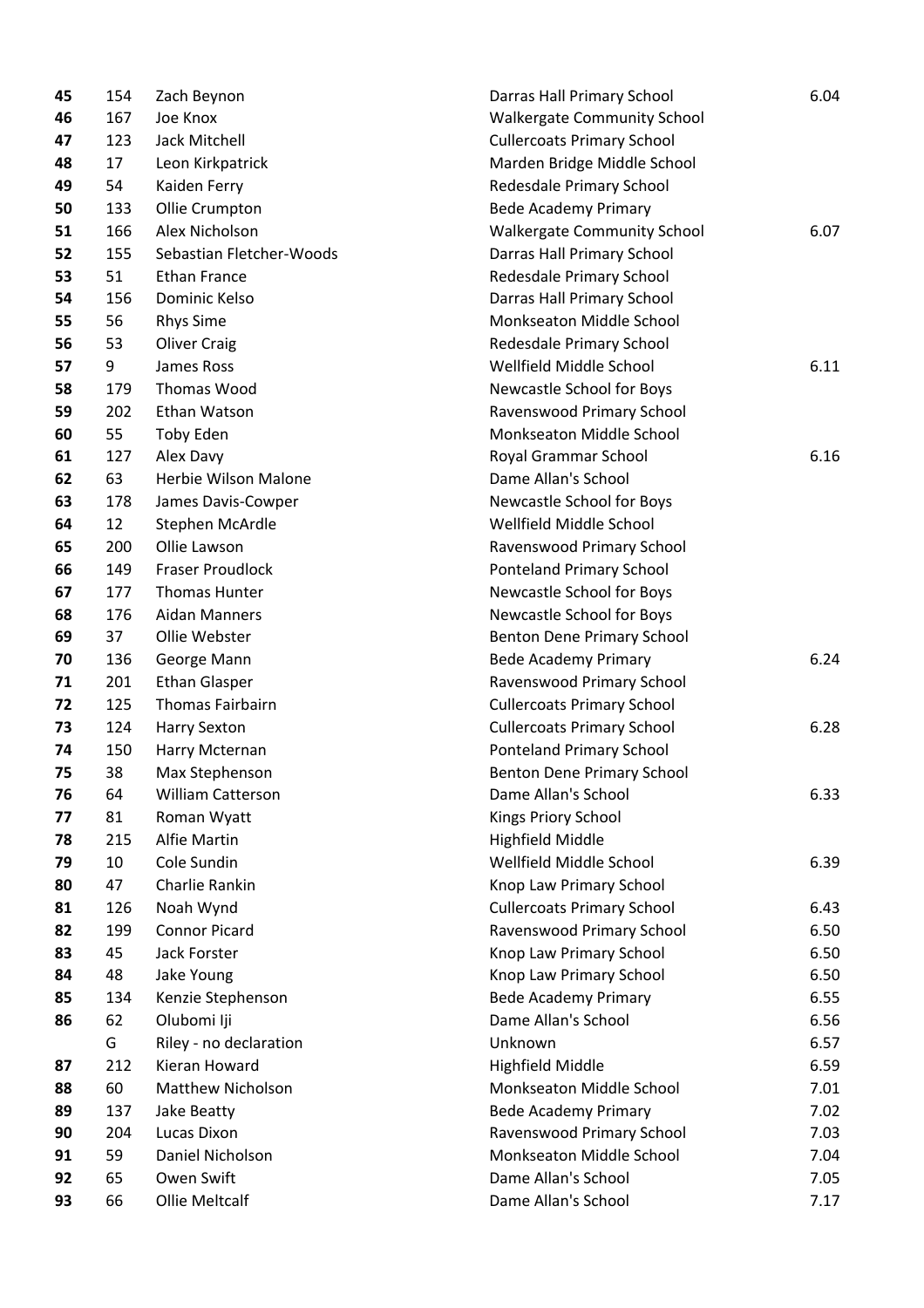| 45 | 154 | Zach Beynon              | Darras Hall Primary School         | 6.04 |  |
|----|-----|--------------------------|------------------------------------|------|--|
| 46 | 167 | Joe Knox                 | <b>Walkergate Community School</b> |      |  |
| 47 | 123 | Jack Mitchell            | <b>Cullercoats Primary School</b>  |      |  |
| 48 | 17  | Leon Kirkpatrick         | Marden Bridge Middle School        |      |  |
| 49 | 54  | Kaiden Ferry             | Redesdale Primary School           |      |  |
| 50 | 133 | Ollie Crumpton           | <b>Bede Academy Primary</b>        |      |  |
| 51 | 166 | Alex Nicholson           | <b>Walkergate Community School</b> | 6.07 |  |
| 52 | 155 | Sebastian Fletcher-Woods | Darras Hall Primary School         |      |  |
| 53 | 51  | <b>Ethan France</b>      | Redesdale Primary School           |      |  |
| 54 | 156 | Dominic Kelso            | Darras Hall Primary School         |      |  |
| 55 | 56  | <b>Rhys Sime</b>         | Monkseaton Middle School           |      |  |
| 56 | 53  | <b>Oliver Craig</b>      | Redesdale Primary School           |      |  |
| 57 | 9   | James Ross               | Wellfield Middle School            | 6.11 |  |
| 58 | 179 | Thomas Wood              | Newcastle School for Boys          |      |  |
| 59 | 202 | Ethan Watson             | Ravenswood Primary School          |      |  |
| 60 | 55  | Toby Eden                | Monkseaton Middle School           |      |  |
| 61 | 127 | Alex Davy                | Royal Grammar School               | 6.16 |  |
| 62 | 63  | Herbie Wilson Malone     | Dame Allan's School                |      |  |
| 63 | 178 | James Davis-Cowper       | Newcastle School for Boys          |      |  |
| 64 | 12  | Stephen McArdle          | Wellfield Middle School            |      |  |
| 65 | 200 | Ollie Lawson             | Ravenswood Primary School          |      |  |
| 66 | 149 | <b>Fraser Proudlock</b>  | Ponteland Primary School           |      |  |
| 67 | 177 | <b>Thomas Hunter</b>     | Newcastle School for Boys          |      |  |
| 68 | 176 | <b>Aidan Manners</b>     | Newcastle School for Boys          |      |  |
| 69 | 37  | Ollie Webster            | Benton Dene Primary School         |      |  |
| 70 | 136 | George Mann              | <b>Bede Academy Primary</b>        | 6.24 |  |
| 71 | 201 | <b>Ethan Glasper</b>     | Ravenswood Primary School          |      |  |
| 72 | 125 | Thomas Fairbairn         | <b>Cullercoats Primary School</b>  |      |  |
| 73 | 124 | <b>Harry Sexton</b>      | <b>Cullercoats Primary School</b>  | 6.28 |  |
| 74 | 150 | Harry Mcternan           | Ponteland Primary School           |      |  |
| 75 | 38  | Max Stephenson           | Benton Dene Primary School         |      |  |
| 76 | 64  | William Catterson        | Dame Allan's School                | 6.33 |  |
| 77 | 81  | Roman Wyatt              | Kings Priory School                |      |  |
| 78 | 215 | Alfie Martin             | <b>Highfield Middle</b>            |      |  |
| 79 | 10  | Cole Sundin              | Wellfield Middle School            | 6.39 |  |
| 80 | 47  | Charlie Rankin           | Knop Law Primary School            |      |  |
| 81 | 126 | Noah Wynd                | <b>Cullercoats Primary School</b>  | 6.43 |  |
| 82 | 199 | <b>Connor Picard</b>     | Ravenswood Primary School          | 6.50 |  |
| 83 | 45  | <b>Jack Forster</b>      | Knop Law Primary School            | 6.50 |  |
| 84 | 48  | Jake Young               | Knop Law Primary School            | 6.50 |  |
| 85 | 134 | Kenzie Stephenson        | <b>Bede Academy Primary</b>        | 6.55 |  |
| 86 | 62  | Olubomi Iji              | Dame Allan's School                | 6.56 |  |
|    | G   | Riley - no declaration   | Unknown                            | 6.57 |  |
| 87 | 212 | Kieran Howard            | <b>Highfield Middle</b>            | 6.59 |  |
| 88 | 60  | <b>Matthew Nicholson</b> | Monkseaton Middle School           | 7.01 |  |
| 89 | 137 | Jake Beatty              | Bede Academy Primary               | 7.02 |  |
| 90 | 204 | Lucas Dixon              | Ravenswood Primary School          | 7.03 |  |
| 91 | 59  | Daniel Nicholson         | Monkseaton Middle School           | 7.04 |  |
| 92 | 65  | Owen Swift               | Dame Allan's School                | 7.05 |  |
| 93 | 66  | Ollie Meltcalf           | Dame Allan's School                | 7.17 |  |
|    |     |                          |                                    |      |  |